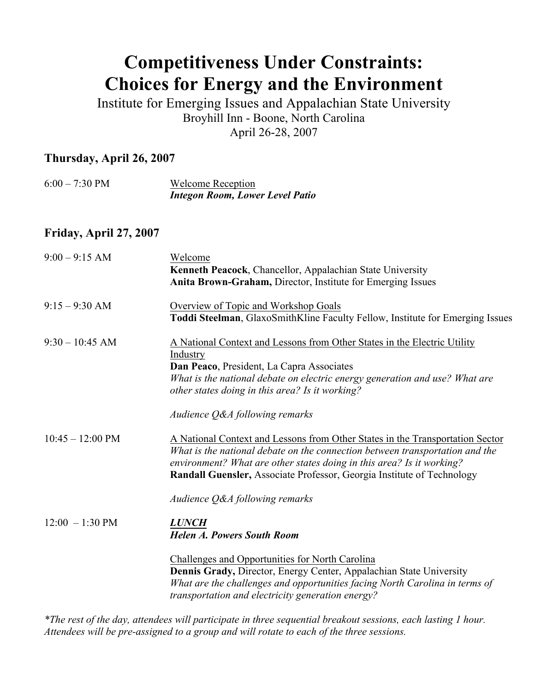# **Competitiveness Under Constraints: Choices for Energy and the Environment**

Institute for Emerging Issues and Appalachian State University Broyhill Inn - Boone, North Carolina April 26-28, 2007

# **Thursday, April 26, 2007**

| $6:00 - 7:30 \text{ PM}$ | <b>Welcome Reception</b>               |
|--------------------------|----------------------------------------|
|                          | <b>Integon Room, Lower Level Patio</b> |

### **Friday, April 27, 2007**

| $9:00 - 9:15$ AM           | Welcome<br>Kenneth Peacock, Chancellor, Appalachian State University<br>Anita Brown-Graham, Director, Institute for Emerging Issues                                                                                                                                                                                                                |
|----------------------------|----------------------------------------------------------------------------------------------------------------------------------------------------------------------------------------------------------------------------------------------------------------------------------------------------------------------------------------------------|
| $9:15 - 9:30$ AM           | Overview of Topic and Workshop Goals<br>Toddi Steelman, GlaxoSmithKline Faculty Fellow, Institute for Emerging Issues                                                                                                                                                                                                                              |
| $9:30 - 10:45$ AM          | A National Context and Lessons from Other States in the Electric Utility<br>Industry<br>Dan Peaco, President, La Capra Associates<br>What is the national debate on electric energy generation and use? What are<br>other states doing in this area? Is it working?<br>Audience Q&A following remarks                                              |
| $10:45 - 12:00 \text{ PM}$ | A National Context and Lessons from Other States in the Transportation Sector<br>What is the national debate on the connection between transportation and the<br>environment? What are other states doing in this area? Is it working?<br>Randall Guensler, Associate Professor, Georgia Institute of Technology<br>Audience Q&A following remarks |
| $12:00 - 1:30 \text{ PM}$  | <b>LUNCH</b><br><b>Helen A. Powers South Room</b><br><b>Challenges and Opportunities for North Carolina</b>                                                                                                                                                                                                                                        |
|                            | Dennis Grady, Director, Energy Center, Appalachian State University<br>What are the challenges and opportunities facing North Carolina in terms of<br>transportation and electricity generation energy?                                                                                                                                            |

*\*The rest of the day, attendees will participate in three sequential breakout sessions, each lasting 1 hour. Attendees will be pre-assigned to a group and will rotate to each of the three sessions.*